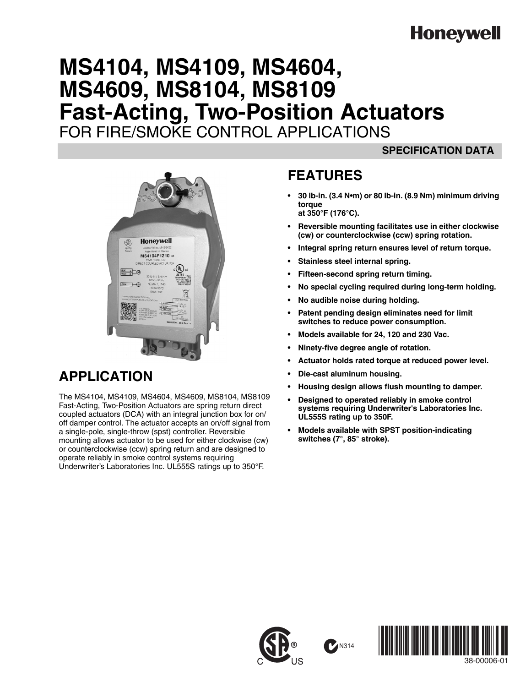# **Honeywell**

# **MS4104, MS4109, MS4604, MS4609, MS8104, MS8109 Fast-Acting, Two-Position Actuators** FOR FIRE/SMOKE CONTROL APPLICATIONS

### **SPECIFICATION DATA**



## **APPLICATION**

The MS4104, MS4109, MS4604, MS4609, MS8104, MS8109 Fast-Acting, Two-Position Actuators are spring return direct coupled actuators (DCA) with an integral junction box for on/ off damper control. The actuator accepts an on/off signal from a single-pole, single-throw (spst) controller. Reversible mounting allows actuator to be used for either clockwise (cw) or counterclockwise (ccw) spring return and are designed to operate reliably in smoke control systems requiring Underwriter's Laboratories Inc. UL555S ratings up to 350°F.

### **FEATURES**

- **30 lb-in. (3.4 N•m) or 80 lb-in. (8.9 Nm) minimum driving torque at 350°F (176°C).**
- **Reversible mounting facilitates use in either clockwise (cw) or counterclockwise (ccw) spring rotation.**
- **Integral spring return ensures level of return torque.**
- **Stainless steel internal spring.**
- **Fifteen-second spring return timing.**
- **No special cycling required during long-term holding.**
- **No audible noise during holding.**
- **Patent pending design eliminates need for limit switches to reduce power consumption.**
- **Models available for 24, 120 and 230 Vac.**
- **Ninety-five degree angle of rotation.**
- **Actuator holds rated torque at reduced power level.**
- **Die-cast aluminum housing.**

**M314** 

- **Housing design allows flush mounting to damper.**
- **Designed to operated reliably in smoke control systems requiring Underwriter's Laboratories Inc. UL555S rating up to 350F.**
- **Models available with SPST position-indicating switches (7°, 85° stroke).**





38-00006-01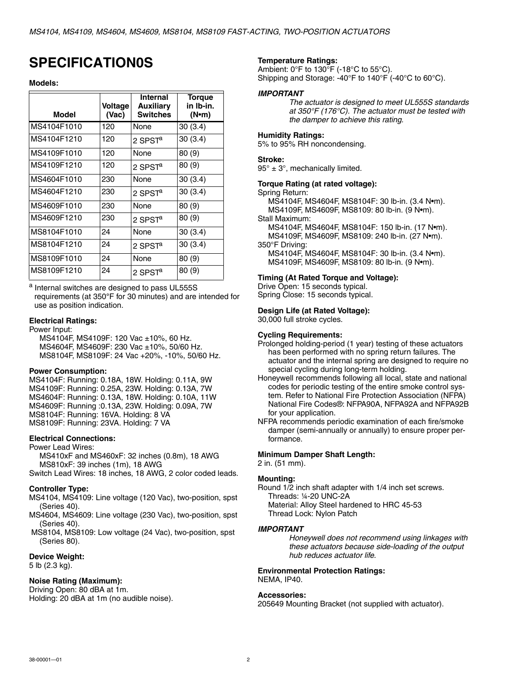## **SPECIFICATION0S**

#### **Models:**

| <b>Model</b> | Voltage<br>(Vac) | Internal<br><b>Auxiliary</b><br><b>Switches</b> | <b>Torque</b><br>in Ib-in.<br>(N•m) |
|--------------|------------------|-------------------------------------------------|-------------------------------------|
| MS4104F1010  | 120              | None                                            | 30(3.4)                             |
| MS4104F1210  | 120              | 2 SPST <sup>a</sup>                             | 30(3.4)                             |
| MS4109F1010  | 120              | None                                            | 80 (9)                              |
| MS4109F1210  | 120              | 2 SPST <sup>a</sup>                             | 80 (9)                              |
| MS4604F1010  | 230              | None                                            | 30(3.4)                             |
| MS4604F1210  | 230              | 2 SPST $a$                                      | 30(3.4)                             |
| MS4609F1010  | 230              | None                                            | 80 (9)                              |
| MS4609F1210  | 230              | 2 SPST <sup>a</sup>                             | 80(9)                               |
| MS8104F1010  | 24               | None                                            | 30(3.4)                             |
| MS8104F1210  | 24               | 2 SPST <sup>a</sup>                             | 30(3.4)                             |
| MS8109F1010  | 24               | None                                            | 80(9)                               |
| MS8109F1210  | 24               | 2 SPST <sup>a</sup>                             | 80 (9)                              |

a Internal switches are designed to pass UL555S requirements (at 350**°**F for 30 minutes) and are intended for use as position indication.

#### **Electrical Ratings:**

Power Input:

MS4104F, MS4109F: 120 Vac ±10%, 60 Hz. MS4604F, MS4609F: 230 Vac ±10%, 50/60 Hz. MS8104F, MS8109F: 24 Vac +20%, -10%, 50/60 Hz.

#### **Power Consumption:**

MS4104F: Running: 0.18A, 18W. Holding: 0.11A, 9W MS4109F: Running: 0.25A, 23W. Holding: 0.13A, 7W MS4604F: Running: 0.13A, 18W. Holding: 0.10A, 11W MS4609F: Running :0.13A, 23W. Holding: 0.09A, 7W MS8104F: Running: 16VA. Holding: 8 VA MS8109F: Running: 23VA. Holding: 7 VA

#### **Electrical Connections:**

Power Lead Wires:

MS410xF and MS460xF: 32 inches (0.8m), 18 AWG MS810xF: 39 inches (1m), 18 AWG

Switch Lead Wires: 18 inches, 18 AWG, 2 color coded leads.

#### **Controller Type:**

MS4104, MS4109: Line voltage (120 Vac), two-position, spst (Series 40).

- MS4604, MS4609: Line voltage (230 Vac), two-position, spst (Series 40).
- MS8104, MS8109: Low voltage (24 Vac), two-position, spst (Series 80).

#### **Device Weight:**

5 lb (2.3 kg).

#### **Noise Rating (Maximum):**

Driving Open: 80 dBA at 1m. Holding: 20 dBA at 1m (no audible noise).

#### **Temperature Ratings:**

Ambient:  $0^{\circ}$ F to 130 $^{\circ}$ F (-18 $^{\circ}$ C to 55 $^{\circ}$ C). Shipping and Storage: -40°F to 140°F (-40°C to 60°C).

#### *IMPORTANT*

*The actuator is designed to meet UL555S standards at 350°F (176°C). The actuator must be tested with the damper to achieve this rating.*

#### **Humidity Ratings:**

5% to 95% RH noncondensing.

#### **Stroke:**

 $95^\circ \pm 3^\circ$ , mechanically limited.

#### **Torque Rating (at rated voltage):**

Spring Return:

MS4104F, MS4604F, MS8104F: 30 lb-in. (3.4 N•m). MS4109F, MS4609F, MS8109: 80 lb-in. (9 N•m). Stall Maximum:

MS4104F, MS4604F, MS8104F: 150 lb-in. (17 N•m). MS4109F, MS4609F, MS8109: 240 lb-in. (27 N•m). 350°F Driving:

MS4104F, MS4604F, MS8104F: 30 lb-in. (3.4 N•m). MS4109F, MS4609F, MS8109: 80 lb-in. (9 N•m).

#### **Timing (At Rated Torque and Voltage):**

Drive Open: 15 seconds typical.

Spring Close: 15 seconds typical.

#### **Design Life (at Rated Voltage):**

30,000 full stroke cycles.

#### **Cycling Requirements:**

- Prolonged holding-period (1 year) testing of these actuators has been performed with no spring return failures. The actuator and the internal spring are designed to require no special cycling during long-term holding.
- Honeywell recommends following all local, state and national codes for periodic testing of the entire smoke control system. Refer to National Fire Protection Association (NFPA) National Fire Codes®: NFPA90A, NFPA92A and NFPA92B for your application.
- NFPA recommends periodic examination of each fire/smoke damper (semi-annually or annually) to ensure proper performance.

#### **Minimum Damper Shaft Length:**

2 in. (51 mm).

#### **Mounting:**

Round 1/2 inch shaft adapter with 1/4 inch set screws. Threads: ¼-20 UNC-2A

Material: Alloy Steel hardened to HRC 45-53

Thread Lock: Nylon Patch

#### *IMPORTANT*

*Honeywell does not recommend using linkages with these actuators because side-loading of the output hub reduces actuator life.*

#### **Environmental Protection Ratings:** NEMA, IP40.

**Accessories:**

205649 Mounting Bracket (not supplied with actuator).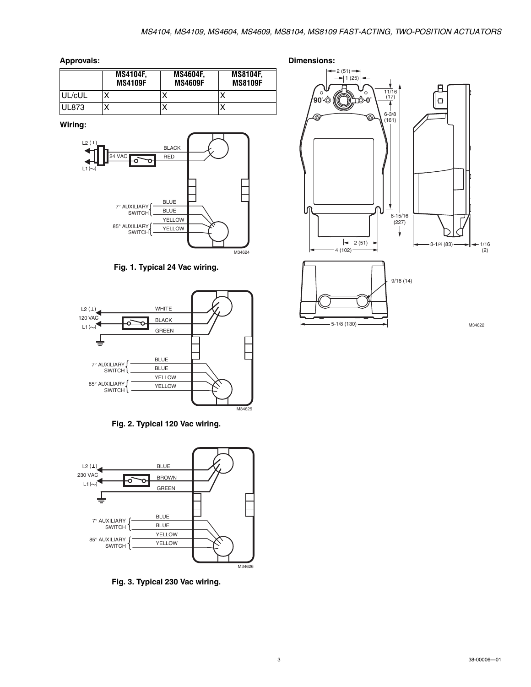**Approvals:**

|        | <b>MS4104F.</b><br><b>MS4109F</b> | <b>MS4604F.</b><br><b>MS4609F</b> | <b>MS8104F,</b><br><b>MS8109F</b> |
|--------|-----------------------------------|-----------------------------------|-----------------------------------|
| UL/cUL | x                                 | ↗                                 |                                   |
| UL873  | x                                 | ↗                                 |                                   |

**Wiring:**



**Fig. 1. Typical 24 Vac wiring.**



**Fig. 2. Typical 120 Vac wiring.**



**Fig. 3. Typical 230 Vac wiring.**

**Dimensions:** 2 (51)  $1(25)$ R **90° 0°**  $\circ$ 11/16 (17)  $\Box$ 6-3/8 œ (161) lſ 8-15/16 (227) 2 (51)  $\rightarrow$   $\rightarrow$   $\rightarrow$  1/16  $-4(102)$ (2) 9/16 (14)5-1/8 (130) M34622